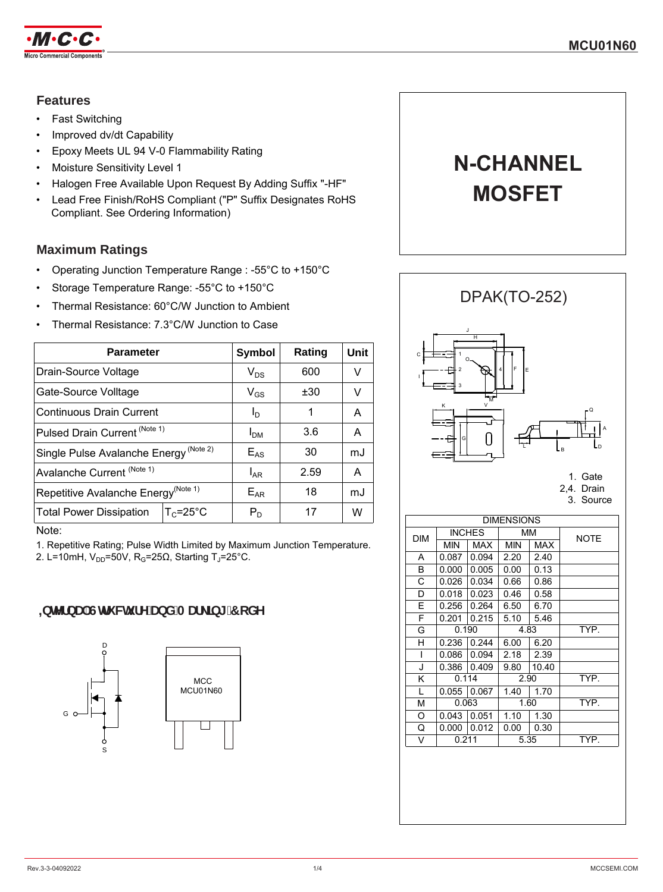

## **Features**

- Fast Switching
- Improved dv/dt Capability
- Epoxy Meets UL 94 V-0 Flammability Rating
- Moisture Sensitivity Level 1
- Halogen Free Available Upon Request By Adding Suffix "-HF"
- Lead Free Finish/RoHS Compliant ("P" Suffix Designates RoHS Compliant. See Ordering Information)

## **Maximum Ratings**

- Operating Junction Temperature Range : -55°C to +150°C
- Storage Temperature Range: -55°C to +150°C
- Thermal Resistance: 60°C/W Junction to Ambient
- Thermal Resistance: 7.3°C/W Junction to Case

| <b>Symbol</b>   | Rating | Unit |
|-----------------|--------|------|
| $V_{DS}$        | 600    | V    |
| $V_{GS}$        | ±30    | V    |
| I <sub>D</sub>  | 1      | A    |
| I <sub>DM</sub> | 3.6    | A    |
| $E_{AS}$        | 30     | mJ   |
| $I_{AR}$        | 2.59   | A    |
| $E_{AR}$        | 18     | mJ   |
| $P_D$           | 17     | W    |
|                 |        |      |

Note:

1. Repetitive Rating; Pulse Width Limited by Maximum Junction Temperature. 2. L=10mH, V<sub>DD</sub>=50V, R<sub>G</sub>=25Ω, Starting T<sub>J</sub>=25°C.

# **.bhYfbU`GHi Wi fY`UbX`A Uf\_]b[ `7 c XY**



# **N-CHANNEL MOSFET**





| <b>DIMENSIONS</b> |               |               |            |            |             |
|-------------------|---------------|---------------|------------|------------|-------------|
| <b>DIM</b>        | <b>INCHES</b> |               | MМ         |            | <b>NOTE</b> |
|                   | <b>MIN</b>    | MAX           | <b>MIN</b> | <b>MAX</b> |             |
| A                 | 0.087         | 0.094         | 2.20       | 2.40       |             |
| В                 | 0.000         | 0.005         | 0.00       | 0.13       |             |
| С                 | 0.026         | 0.034         | 0.66       | 0.86       |             |
| D                 | 0.018         | 0.023         | 0.46       | 0.58       |             |
| E                 | 0.256         | 0.264         | 6.50       | 6.70       |             |
| F                 | 0.201         | 0.215         | 5.10       | 5.46       |             |
| G                 | 0.190         |               |            | 4.83       | TYP.        |
| н                 |               | $0.236$ 0.244 | 6.00       | 6.20       |             |
| ı                 | 0.086         | 0.094         | 2.18       | 2.39       |             |
| J                 | 0.386         | 0.409         | 9.80       | 10.40      |             |
| Κ                 | 0.114         |               |            | 2.90       | TYP.        |
| L                 | 0.055         | 0.067         | 1.40       | 1.70       |             |
| М                 | 0.063         |               |            | 1.60       | TYP.        |
| O                 | 0.043         | 0.051         | 1.10       | 1.30       |             |
| Q                 | 0.000         | 0.012         | 0.00       | 0.30       |             |
| V                 | 0.211         |               |            | 5.35       | TYP.        |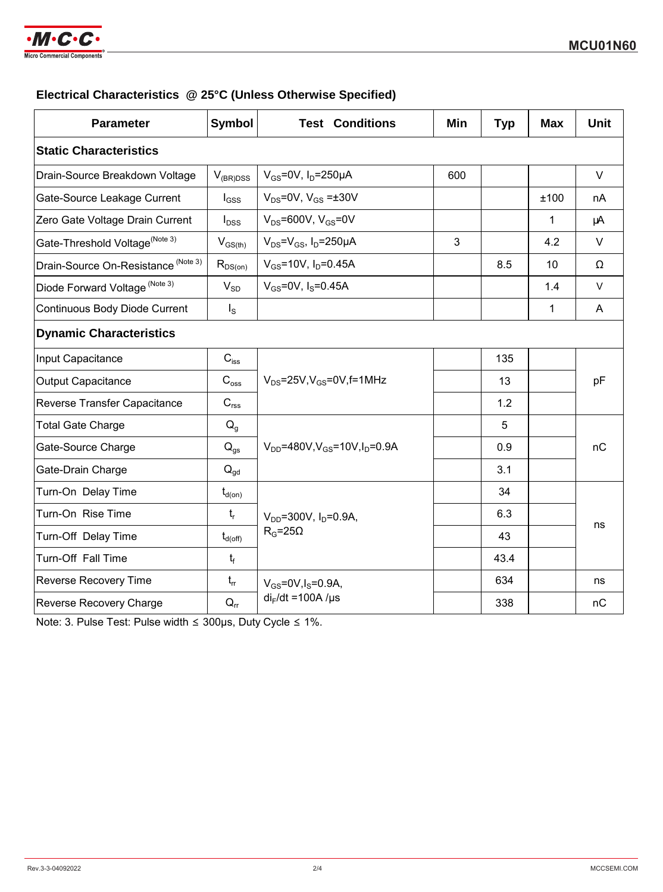

## **Electrical Characteristics @ 25°C (Unless Otherwise Specified)**

| <b>Parameter</b>                           | <b>Symbol</b>         | <b>Test Conditions</b>                          | Min | <b>Typ</b> | <b>Max</b>  | <b>Unit</b> |  |
|--------------------------------------------|-----------------------|-------------------------------------------------|-----|------------|-------------|-------------|--|
| <b>Static Characteristics</b>              |                       |                                                 |     |            |             |             |  |
| Drain-Source Breakdown Voltage             | $V_{(BR)DSS}$         | $V_{GS}$ =0V, $I_D$ =250µA                      | 600 |            |             | $\vee$      |  |
| Gate-Source Leakage Current                | $I_{GSS}$             | $V_{DS}$ =0V, $V_{GS}$ = $\pm$ 30V              |     |            | ±100        | nA          |  |
| Zero Gate Voltage Drain Current            | $I_{DSS}$             | $V_{DS}$ =600V, $V_{GS}$ =0V                    |     |            | 1           | μA          |  |
| Gate-Threshold Voltage <sup>(Note 3)</sup> | $V_{GS(th)}$          | $V_{DS} = V_{GS}$ , $I_D = 250 \mu A$           | 3   |            | 4.2         | $\vee$      |  |
| Drain-Source On-Resistance (Note 3)        | $R_{DS(on)}$          | $V_{GS}$ =10V, $I_D$ =0.45A                     |     | 8.5        | 10          | Ω           |  |
| Diode Forward Voltage (Note 3)             | $V_{SD}$              | $V_{GS} = 0V$ , $I_S = 0.45A$                   |     |            | 1.4         | $\vee$      |  |
| Continuous Body Diode Current              | $I_{\rm S}$           |                                                 |     |            | $\mathbf 1$ | A           |  |
| <b>Dynamic Characteristics</b>             |                       |                                                 |     |            |             |             |  |
| Input Capacitance                          | $C_{iss}$             |                                                 |     | 135        |             | pF          |  |
| <b>Output Capacitance</b>                  | $C_{\rm oss}$         | $V_{DS}$ =25V, $V_{GS}$ =0V, f=1MHz             |     | 13         |             |             |  |
| Reverse Transfer Capacitance               | $C_{\text{rss}}$      |                                                 |     | 1.2        |             |             |  |
| <b>Total Gate Charge</b>                   | $Q_{q}$               |                                                 |     | 5          |             |             |  |
| Gate-Source Charge                         | $Q_{qs}$              | $V_{DD} = 480V$ , $V_{GS} = 10V$ , $I_D = 0.9A$ |     | 0.9        |             | nC          |  |
| Gate-Drain Charge                          | $Q_{gd}$              |                                                 |     | 3.1        |             |             |  |
| Turn-On Delay Time                         | $t_{d(0n)}$           |                                                 |     | 34         |             |             |  |
| Turn-On Rise Time                          | $t_{r}$               | $V_{DD} = 300V$ , $I_D = 0.9A$ ,                |     | 6.3        |             |             |  |
| Turn-Off Delay Time                        | $t_{d(\mathrm{off})}$ | $R_G = 25\Omega$                                |     | 43         |             | ns          |  |
| Turn-Off Fall Time                         | $t_f$                 |                                                 |     | 43.4       |             |             |  |
| <b>Reverse Recovery Time</b>               | $t_{rr}$              | $V_{GS} = 0V, I_S = 0.9A,$                      |     | 634        |             | ns          |  |
| Reverse Recovery Charge                    | $Q_{rr}$              | $di_F/dt = 100A/\mu s$                          |     | 338        |             | nC          |  |

Note: 3. Pulse Test: Pulse width ≤ 300μs, Duty Cycle ≤ 1%.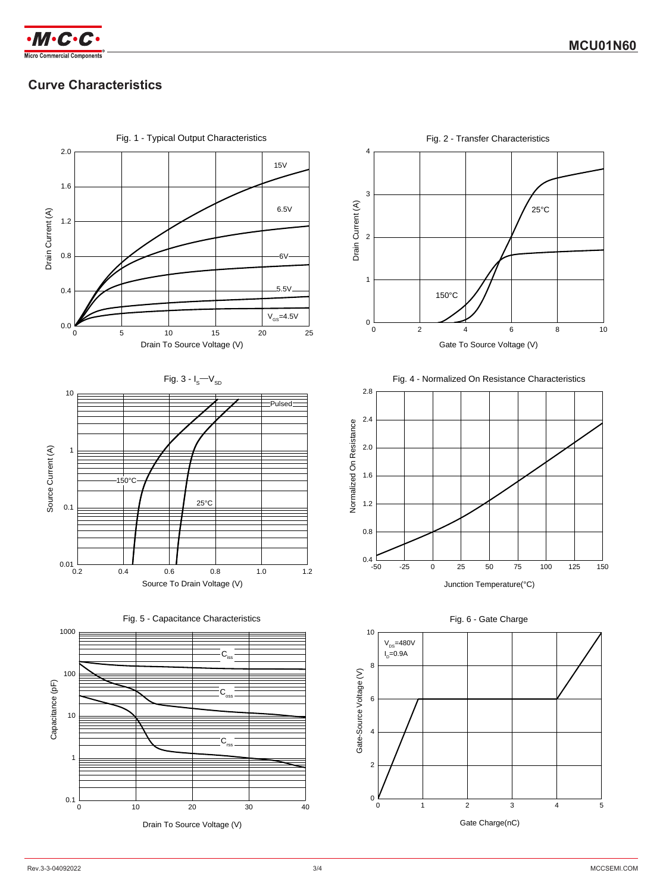

# **Curve Characteristics**



Drain To Source Voltage (V)



25°C





Fig. 6 - Gate Charge